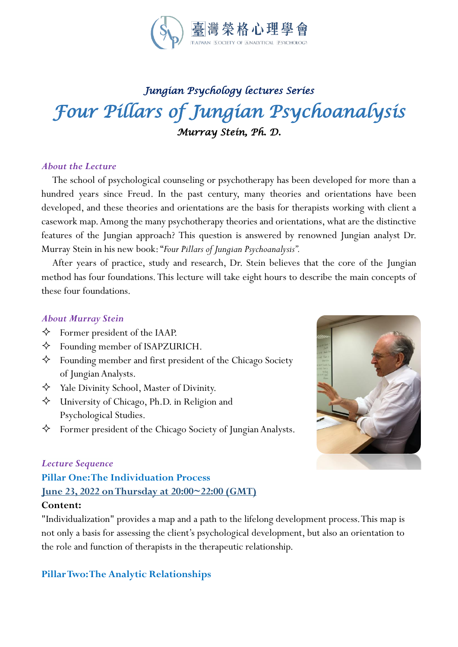

# *Jungian Psychology lectures Series Four Pillars of Jungian Psychoanalysis Murray Stein, Ph. D.*

#### *About the Lecture*

 The school of psychological counseling or psychotherapy has been developed for more than a hundred years since Freud. In the past century, many theories and orientations have been developed, and these theories and orientations are the basis for therapists working with client a casework map.Among the many psychotherapy theories and orientations, what are the distinctive features of the Jungian approach? This question is answered by renowned Jungian analyst Dr. Murray Stein in his new book:"*Four Pillars of Jungian Psychoanalysis".*

 After years of practice, study and research, Dr. Stein believes that the core of the Jungian method has four foundations. This lecture will take eight hours to describe the main concepts of these four foundations.

#### *About Murray Stein*

- $\Diamond$  Former president of the IAAP.
- Founding member of ISAPZURICH.
- Founding member and first president of the Chicago Society of Jungian Analysts.
- Yale Divinity School, Master of Divinity.
- University of Chicago, Ph.D. in Religion and Psychological Studies.
- $\Diamond$  Former president of the Chicago Society of Jungian Analysts.

# *Lecture Sequence* **Pillar One: The Individuation Process June 23, 2022 onThursday at 20:00~22:00 (GMT) Content:**

"Individualization" provides a map and a path to the lifelong development process. This map is not only a basis for assessing the client's psychological development, but also an orientation to the role and function of therapists in the therapeutic relationship.

#### **Pillar Two: The Analytic Relationships**

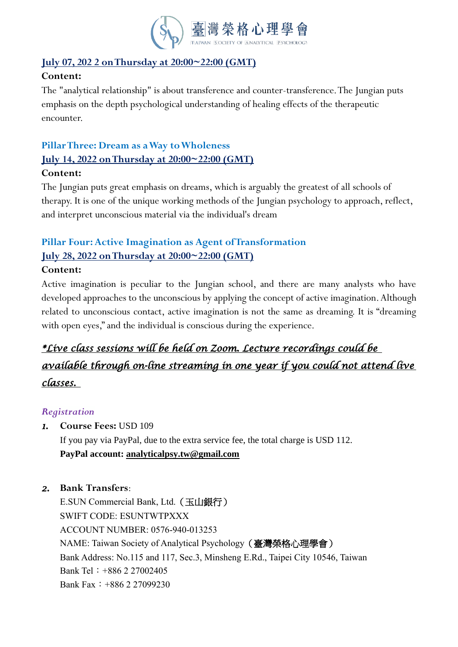

## **July 07, 202 2 on Thursday at 20:00~22:00 (GMT)**

### **Content:**

The "analytical relationship" is about transference and counter-transference. The Jungian puts emphasis on the depth psychological understanding of healing effects of the therapeutic encounter.

# **Pillar Three: Dream as aWay to Wholeness July 14, 2022 on Thursday at 20:00~22:00 (GMT)**

#### **Content:**

The Jungian puts great emphasis on dreams, which is arguably the greatest of all schools of therapy. It is one of the unique working methods of the Jungian psychology to approach, reflect, and interpret unconscious material via the individual's dream

# **Pillar Four: Active Imagination as Agent of Transformation July 28, 2022 on Thursday at 20:00~22:00 (GMT)**

#### **Content:**

Active imagination is peculiar to the Jungian school, and there are many analysts who have developed approaches to the unconscious by applying the concept of active imagination. Although related to unconscious contact, active imagination is not the same as dreaming. It is "dreaming with open eyes," and the individual is conscious during the experience.

# *\*Live class sessions will be held on Zoom. Lecture recordings could be available through on-line streaming in one year if you could not attend live classes.*

### *Registration*

*1.* **Course Fees:** USD 109

If you pay via PayPal, due to the extra service fee, the total charge is USD 112. **PayPal account: [analyticalpsy.tw@gmail.com](mailto:analyticalpsy.tw@gmail.com)**

### *2.* **Bank Transfers**:

E.SUN Commercial Bank, Ltd.(玉山銀行) SWIFT CODE: ESUNTWTPXXX ACCOUNT NUMBER: 0576-940-013253 NAME: Taiwan Society of Analytical Psychology (臺灣榮格心理學會) Bank Address: No.115 and 117, Sec.3, Minsheng E.Rd., Taipei City 10546, Taiwan Bank Tel:+886 2 27002405 Bank Fax:+886 2 27099230